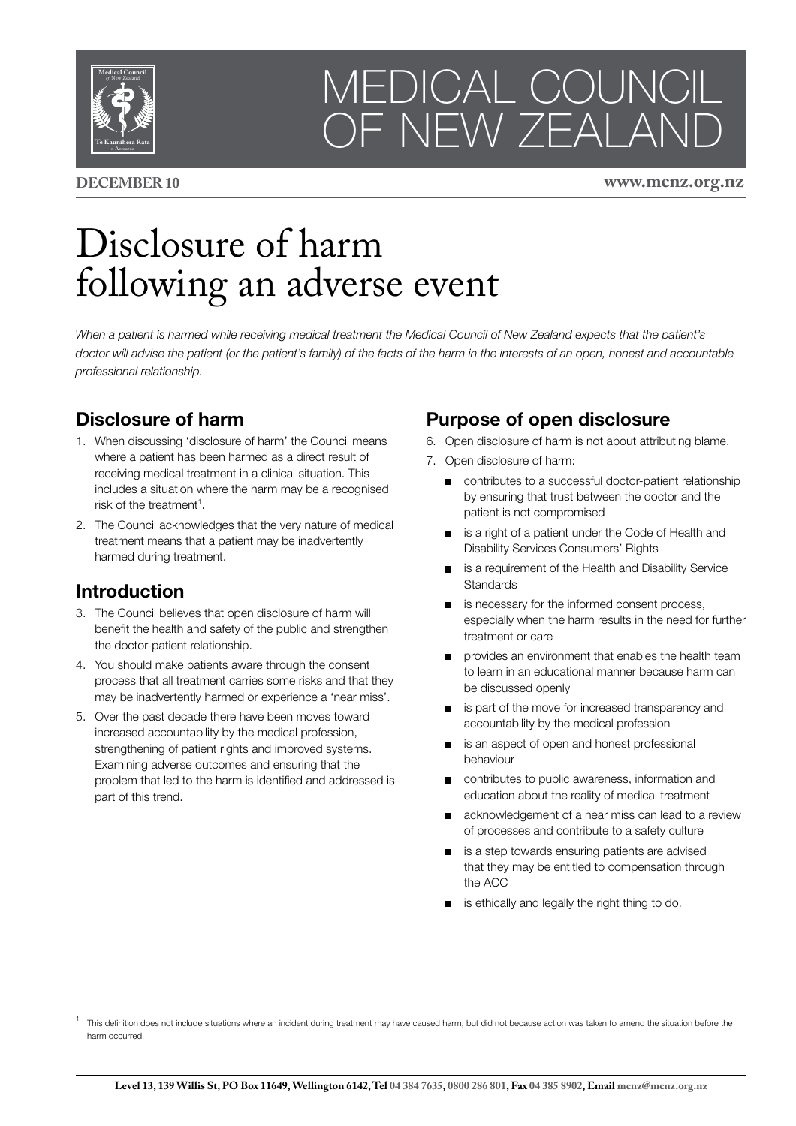

# MEDICAL COUNCIL OF NEW ZEALAND

**DECEMBER 10 www.mcnz.org.nz**

## Disclosure of harm following an adverse event

When a patient is harmed while receiving medical treatment the Medical Council of New Zealand expects that the patient's *doctor will advise the patient (or the patient's family) of the facts of the harm in the interests of an open, honest and accountable professional relationship.*

#### **Disclosure of harm**

- 1. When discussing 'disclosure of harm' the Council means where a patient has been harmed as a direct result of receiving medical treatment in a clinical situation. This includes a situation where the harm may be a recognised risk of the treatment $^1$ .
- 2. The Council acknowledges that the very nature of medical treatment means that a patient may be inadvertently harmed during treatment.

#### **Introduction**

- 3. The Council believes that open disclosure of harm will benefit the health and safety of the public and strengthen the doctor-patient relationship.
- 4. You should make patients aware through the consent process that all treatment carries some risks and that they may be inadvertently harmed or experience a 'near miss'.
- 5. Over the past decade there have been moves toward increased accountability by the medical profession, strengthening of patient rights and improved systems. Examining adverse outcomes and ensuring that the problem that led to the harm is identified and addressed is part of this trend.

### **Purpose of open disclosure**

- 6. Open disclosure of harm is not about attributing blame.
- 7. Open disclosure of harm:
	- contributes to a successful doctor-patient relationship by ensuring that trust between the doctor and the patient is not compromised
	- is a right of a patient under the Code of Health and Disability Services Consumers' Rights
	- s a requirement of the Health and Disability Service **Standards**
	- is necessary for the informed consent process, especially when the harm results in the need for further treatment or care
	- **provides an environment that enables the health team** to learn in an educational manner because harm can be discussed openly
	- s is part of the move for increased transparency and accountability by the medical profession
	- $\blacksquare$ is an aspect of open and honest professional behaviour
	- contributes to public awareness, information and education about the reality of medical treatment
	- acknowledgement of a near miss can lead to a review of processes and contribute to a safety culture
	- is a step towards ensuring patients are advised that they may be entitled to compensation through the ACC
	- is ethically and legally the right thing to do.

<sup>1</sup> This definition does not include situations where an incident during treatment may have caused harm, but did not because action was taken to amend the situation before the harm occurred.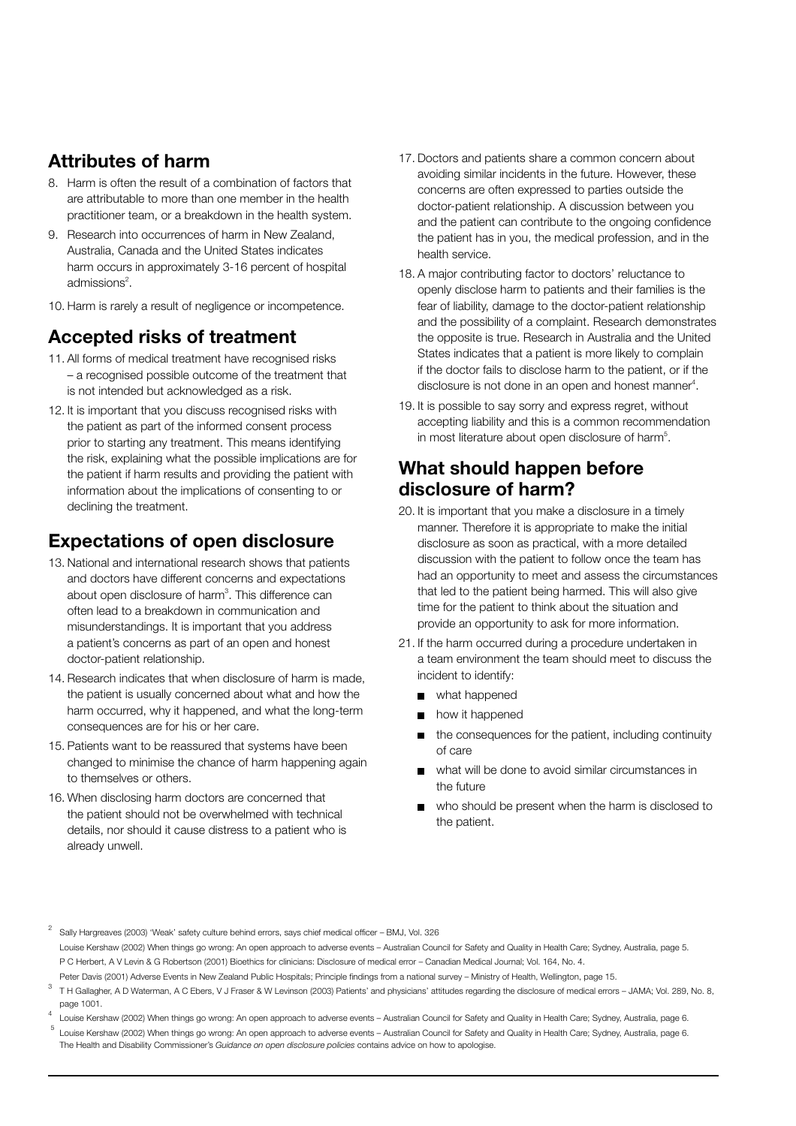#### **Attributes of harm**

- 8. Harm is often the result of a combination of factors that are attributable to more than one member in the health practitioner team, or a breakdown in the health system.
- 9. Research into occurrences of harm in New Zealand, Australia, Canada and the United States indicates harm occurs in approximately 3-16 percent of hospital admissions $2$ .
- 10. Harm is rarely a result of negligence or incompetence.

#### **Accepted risks of treatment**

- 11. All forms of medical treatment have recognised risks – a recognised possible outcome of the treatment that is not intended but acknowledged as a risk.
- 12. It is important that you discuss recognised risks with the patient as part of the informed consent process prior to starting any treatment. This means identifying the risk, explaining what the possible implications are for the patient if harm results and providing the patient with information about the implications of consenting to or declining the treatment.

#### **Expectations of open disclosure**

- 13. National and international research shows that patients and doctors have different concerns and expectations about open disclosure of harm $3$ . This difference can often lead to a breakdown in communication and misunderstandings. It is important that you address a patient's concerns as part of an open and honest doctor-patient relationship.
- 14. Research indicates that when disclosure of harm is made, the patient is usually concerned about what and how the harm occurred, why it happened, and what the long-term consequences are for his or her care.
- 15. Patients want to be reassured that systems have been changed to minimise the chance of harm happening again to themselves or others.
- 16. When disclosing harm doctors are concerned that the patient should not be overwhelmed with technical details, nor should it cause distress to a patient who is already unwell.
- 17. Doctors and patients share a common concern about avoiding similar incidents in the future. However, these concerns are often expressed to parties outside the doctor-patient relationship. A discussion between you and the patient can contribute to the ongoing confidence the patient has in you, the medical profession, and in the health service.
- 18. A major contributing factor to doctors' reluctance to openly disclose harm to patients and their families is the fear of liability, damage to the doctor-patient relationship and the possibility of a complaint. Research demonstrates the opposite is true. Research in Australia and the United States indicates that a patient is more likely to complain if the doctor fails to disclose harm to the patient, or if the disclosure is not done in an open and honest manner $4$ .
- 19. It is possible to say sorry and express regret, without accepting liability and this is a common recommendation in most literature about open disclosure of harm<sup>5</sup>.

#### **What should happen before disclosure of harm?**

- 20. It is important that you make a disclosure in a timely manner. Therefore it is appropriate to make the initial disclosure as soon as practical, with a more detailed discussion with the patient to follow once the team has had an opportunity to meet and assess the circumstances that led to the patient being harmed. This will also give time for the patient to think about the situation and provide an opportunity to ask for more information.
- 21. If the harm occurred during a procedure undertaken in a team environment the team should meet to discuss the incident to identify:
	- what happened
	- **n** how it happened
	- the consequences for the patient, including continuity of care
	- what will be done to avoid similar circumstances in the future
	- who should be present when the harm is disclosed to the patient.

<sup>2</sup> Sally Hargreaves (2003) 'Weak' safety culture behind errors, says chief medical officer – BMJ, Vol. 326 Louise Kershaw (2002) When things go wrong: An open approach to adverse events – Australian Council for Safety and Quality in Health Care; Sydney, Australia, page 5. P C Herbert, A V Levin & G Robertson (2001) Bioethics for clinicians: Disclosure of medical error – Canadian Medical Journal; Vol. 164, No. 4. Peter Davis (2001) Adverse Events in New Zealand Public Hospitals; Principle findings from a national survey – Ministry of Health, Wellington, page 15.

 $\overline{3}$ T H Gallagher, A D Waterman, A C Ebers, V J Fraser & W Levinson (2003) Patients' and physicians' attitudes regarding the disclosure of medical errors – JAMA; Vol. 289, No. 8, page 1001.

<sup>4</sup> Louise Kershaw (2002) When things go wrong: An open approach to adverse events – Australian Council for Safety and Quality in Health Care; Sydney, Australia, page 6.  $^5$  Louise Kershaw (2002) When things go wrong: An open approach to adverse events – Australian Council for Safety and Quality in Health Care; Sydney, Australia, page 6. The Health and Disability Commissioner's *Guidance on open disclosure policies* contains advice on how to apologise.